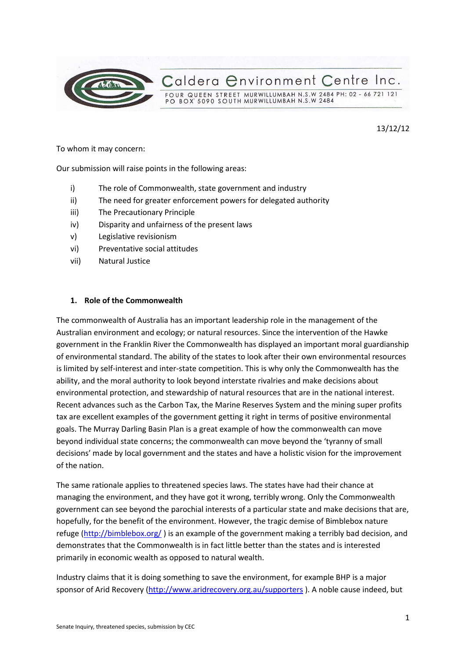

13/12/12

To whom it may concern:

Our submission will raise points in the following areas:

- i) The role of Commonwealth, state government and industry
- ii) The need for greater enforcement powers for delegated authority
- iii) The Precautionary Principle
- iv) Disparity and unfairness of the present laws
- v) Legislative revisionism
- vi) Preventative social attitudes
- vii) Natural Justice

### **1. Role of the Commonwealth**

The commonwealth of Australia has an important leadership role in the management of the Australian environment and ecology; or natural resources. Since the intervention of the Hawke government in the Franklin River the Commonwealth has displayed an important moral guardianship of environmental standard. The ability of the states to look after their own environmental resources is limited by self-interest and inter-state competition. This is why only the Commonwealth has the ability, and the moral authority to look beyond interstate rivalries and make decisions about environmental protection, and stewardship of natural resources that are in the national interest. Recent advances such as the Carbon Tax, the Marine Reserves System and the mining super profits tax are excellent examples of the government getting it right in terms of positive environmental goals. The Murray Darling Basin Plan is a great example of how the commonwealth can move beyond individual state concerns; the commonwealth can move beyond the 'tyranny of small decisions' made by local government and the states and have a holistic vision for the improvement of the nation.

The same rationale applies to threatened species laws. The states have had their chance at managing the environment, and they have got it wrong, terribly wrong. Only the Commonwealth government can see beyond the parochial interests of a particular state and make decisions that are, hopefully, for the benefit of the environment. However, the tragic demise of Bimblebox nature refuge [\(http://bimblebox.org/](http://bimblebox.org/) ) is an example of the government making a terribly bad decision, and demonstrates that the Commonwealth is in fact little better than the states and is interested primarily in economic wealth as opposed to natural wealth.

Industry claims that it is doing something to save the environment, for example BHP is a major sponsor of Arid Recovery [\(http://www.aridrecovery.org.au/supporters](http://www.aridrecovery.org.au/supporters) ). A noble cause indeed, but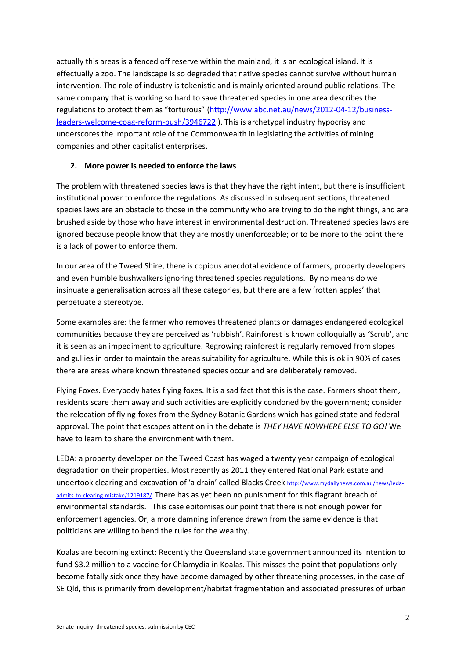actually this areas is a fenced off reserve within the mainland, it is an ecological island. It is effectually a zoo. The landscape is so degraded that native species cannot survive without human intervention. The role of industry is tokenistic and is mainly oriented around public relations. The same company that is working so hard to save threatened species in one area describes the regulations to protect them as "torturous" ([http://www.abc.net.au/news/2012-04-12/business](http://www.abc.net.au/news/2012-04-12/business-leaders-welcome-coag-reform-push/3946722)[leaders-welcome-coag-reform-push/3946722](http://www.abc.net.au/news/2012-04-12/business-leaders-welcome-coag-reform-push/3946722) ). This is archetypal industry hypocrisy and underscores the important role of the Commonwealth in legislating the activities of mining companies and other capitalist enterprises.

### **2. More power is needed to enforce the laws**

The problem with threatened species laws is that they have the right intent, but there is insufficient institutional power to enforce the regulations. As discussed in subsequent sections, threatened species laws are an obstacle to those in the community who are trying to do the right things, and are brushed aside by those who have interest in environmental destruction. Threatened species laws are ignored because people know that they are mostly unenforceable; or to be more to the point there is a lack of power to enforce them.

In our area of the Tweed Shire, there is copious anecdotal evidence of farmers, property developers and even humble bushwalkers ignoring threatened species regulations. By no means do we insinuate a generalisation across all these categories, but there are a few 'rotten apples' that perpetuate a stereotype.

Some examples are: the farmer who removes threatened plants or damages endangered ecological communities because they are perceived as 'rubbish'. Rainforest is known colloquially as 'Scrub', and it is seen as an impediment to agriculture. Regrowing rainforest is regularly removed from slopes and gullies in order to maintain the areas suitability for agriculture. While this is ok in 90% of cases there are areas where known threatened species occur and are deliberately removed.

Flying Foxes. Everybody hates flying foxes. It is a sad fact that this is the case. Farmers shoot them, residents scare them away and such activities are explicitly condoned by the government; consider the relocation of flying-foxes from the Sydney Botanic Gardens which has gained state and federal approval. The point that escapes attention in the debate is *THEY HAVE NOWHERE ELSE TO GO!* We have to learn to share the environment with them.

LEDA: a property developer on the Tweed Coast has waged a twenty year campaign of ecological degradation on their properties. Most recently as 2011 they entered National Park estate and undertook clearing and excavation of 'a drain' called Blacks Creek [http://www.mydailynews.com.au/news/leda](http://www.mydailynews.com.au/news/leda-admits-to-clearing-mistake/1219187/)[admits-to-clearing-mistake/1219187/.](http://www.mydailynews.com.au/news/leda-admits-to-clearing-mistake/1219187/) There has as yet been no punishment for this flagrant breach of environmental standards. This case epitomises our point that there is not enough power for enforcement agencies. Or, a more damning inference drawn from the same evidence is that politicians are willing to bend the rules for the wealthy.

Koalas are becoming extinct: Recently the Queensland state government announced its intention to fund \$3.2 million to a vaccine for Chlamydia in Koalas. This misses the point that populations only become fatally sick once they have become damaged by other threatening processes, in the case of SE Qld, this is primarily from development/habitat fragmentation and associated pressures of urban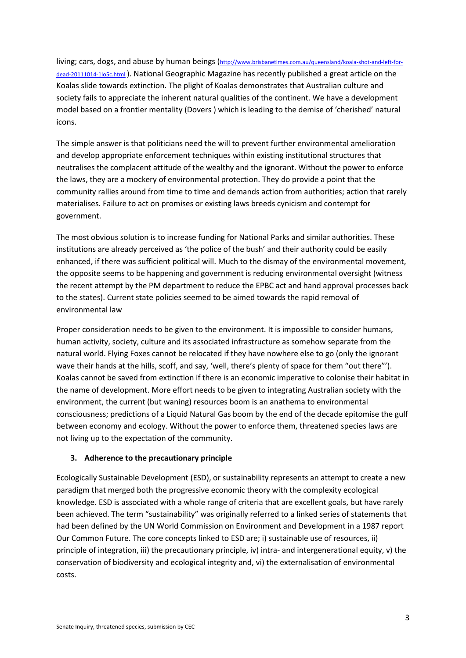living; cars, dogs, and abuse by human beings ([http://www.brisbanetimes.com.au/queensland/koala-shot-and-left-for](http://www.brisbanetimes.com.au/queensland/koala-shot-and-left-for-dead-20111014-1lo5c.html)[dead-20111014-1lo5c.html](http://www.brisbanetimes.com.au/queensland/koala-shot-and-left-for-dead-20111014-1lo5c.html) ). National Geographic Magazine has recently published a great article on the Koalas slide towards extinction. The plight of Koalas demonstrates that Australian culture and society fails to appreciate the inherent natural qualities of the continent. We have a development model based on a frontier mentality (Dovers ) which is leading to the demise of 'cherished' natural icons.

The simple answer is that politicians need the will to prevent further environmental amelioration and develop appropriate enforcement techniques within existing institutional structures that neutralises the complacent attitude of the wealthy and the ignorant. Without the power to enforce the laws, they are a mockery of environmental protection. They do provide a point that the community rallies around from time to time and demands action from authorities; action that rarely materialises. Failure to act on promises or existing laws breeds cynicism and contempt for government.

The most obvious solution is to increase funding for National Parks and similar authorities. These institutions are already perceived as 'the police of the bush' and their authority could be easily enhanced, if there was sufficient political will. Much to the dismay of the environmental movement, the opposite seems to be happening and government is reducing environmental oversight (witness the recent attempt by the PM department to reduce the EPBC act and hand approval processes back to the states). Current state policies seemed to be aimed towards the rapid removal of environmental law

Proper consideration needs to be given to the environment. It is impossible to consider humans, human activity, society, culture and its associated infrastructure as somehow separate from the natural world. Flying Foxes cannot be relocated if they have nowhere else to go (only the ignorant wave their hands at the hills, scoff, and say, 'well, there's plenty of space for them "out there"'). Koalas cannot be saved from extinction if there is an economic imperative to colonise their habitat in the name of development. More effort needs to be given to integrating Australian society with the environment, the current (but waning) resources boom is an anathema to environmental consciousness; predictions of a Liquid Natural Gas boom by the end of the decade epitomise the gulf between economy and ecology. Without the power to enforce them, threatened species laws are not living up to the expectation of the community.

### **3. Adherence to the precautionary principle**

Ecologically Sustainable Development (ESD), or sustainability represents an attempt to create a new paradigm that merged both the progressive economic theory with the complexity ecological knowledge. ESD is associated with a whole range of criteria that are excellent goals, but have rarely been achieved. The term "sustainability" was originally referred to a linked series of statements that had been defined by the UN World Commission on Environment and Development in a 1987 report Our Common Future. The core concepts linked to ESD are; i) sustainable use of resources, ii) principle of integration, iii) the precautionary principle, iv) intra- and intergenerational equity, v) the conservation of biodiversity and ecological integrity and, vi) the externalisation of environmental costs.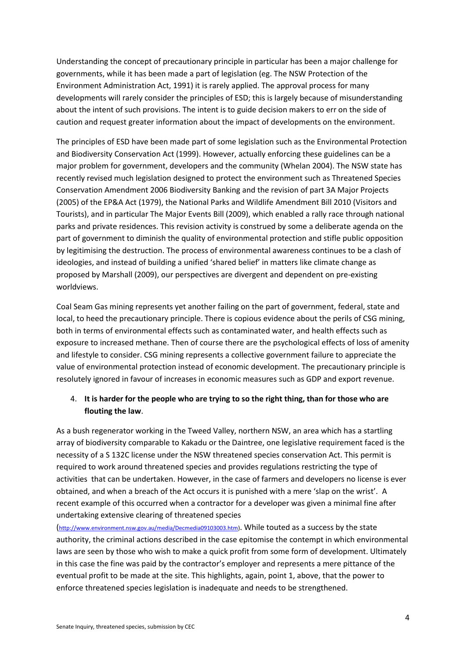Understanding the concept of precautionary principle in particular has been a major challenge for governments, while it has been made a part of legislation (eg. The NSW Protection of the Environment Administration Act, 1991) it is rarely applied. The approval process for many developments will rarely consider the principles of ESD; this is largely because of misunderstanding about the intent of such provisions. The intent is to guide decision makers to err on the side of caution and request greater information about the impact of developments on the environment.

The principles of ESD have been made part of some legislation such as the Environmental Protection and Biodiversity Conservation Act (1999). However, actually enforcing these guidelines can be a major problem for government, developers and the community (Whelan 2004). The NSW state has recently revised much legislation designed to protect the environment such as Threatened Species Conservation Amendment 2006 Biodiversity Banking and the revision of part 3A Major Projects (2005) of the EP&A Act (1979), the National Parks and Wildlife Amendment Bill 2010 (Visitors and Tourists), and in particular The Major Events Bill (2009), which enabled a rally race through national parks and private residences. This revision activity is construed by some a deliberate agenda on the part of government to diminish the quality of environmental protection and stifle public opposition by legitimising the destruction. The process of environmental awareness continues to be a clash of ideologies, and instead of building a unified 'shared belief' in matters like climate change as proposed by Marshall (2009), our perspectives are divergent and dependent on pre-existing worldviews.

Coal Seam Gas mining represents yet another failing on the part of government, federal, state and local, to heed the precautionary principle. There is copious evidence about the perils of CSG mining, both in terms of environmental effects such as contaminated water, and health effects such as exposure to increased methane. Then of course there are the psychological effects of loss of amenity and lifestyle to consider. CSG mining represents a collective government failure to appreciate the value of environmental protection instead of economic development. The precautionary principle is resolutely ignored in favour of increases in economic measures such as GDP and export revenue.

# 4. **It is harder for the people who are trying to so the right thing, than for those who are flouting the law**.

As a bush regenerator working in the Tweed Valley, northern NSW, an area which has a startling array of biodiversity comparable to Kakadu or the Daintree, one legislative requirement faced is the necessity of a S 132C license under the NSW threatened species conservation Act. This permit is required to work around threatened species and provides regulations restricting the type of activities that can be undertaken. However, in the case of farmers and developers no license is ever obtained, and when a breach of the Act occurs it is punished with a mere 'slap on the wrist'. A recent example of this occurred when a contractor for a developer was given a minimal fine after undertaking extensive clearing of threatened species

([http://www.environment.nsw.gov.au/media/Decmedia09103003.htm\)](http://www.environment.nsw.gov.au/media/Decmedia09103003.htm). While touted as a success by the state authority, the criminal actions described in the case epitomise the contempt in which environmental laws are seen by those who wish to make a quick profit from some form of development. Ultimately in this case the fine was paid by the contractor's employer and represents a mere pittance of the eventual profit to be made at the site. This highlights, again, point 1, above, that the power to enforce threatened species legislation is inadequate and needs to be strengthened.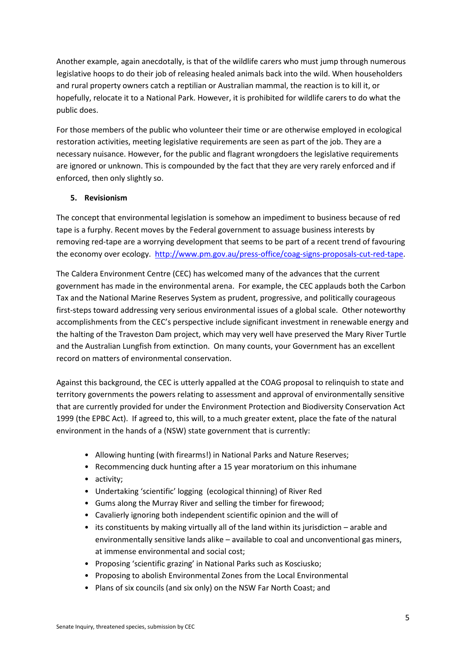Another example, again anecdotally, is that of the wildlife carers who must jump through numerous legislative hoops to do their job of releasing healed animals back into the wild. When householders and rural property owners catch a reptilian or Australian mammal, the reaction is to kill it, or hopefully, relocate it to a National Park. However, it is prohibited for wildlife carers to do what the public does.

For those members of the public who volunteer their time or are otherwise employed in ecological restoration activities, meeting legislative requirements are seen as part of the job. They are a necessary nuisance. However, for the public and flagrant wrongdoers the legislative requirements are ignored or unknown. This is compounded by the fact that they are very rarely enforced and if enforced, then only slightly so.

## **5. Revisionism**

The concept that environmental legislation is somehow an impediment to business because of red tape is a furphy. Recent moves by the Federal government to assuage business interests by removing red-tape are a worrying development that seems to be part of a recent trend of favouring the economy over ecology. [http://www.pm.gov.au/press-office/coag-signs-proposals-cut-red-tape.](http://www.pm.gov.au/press-office/coag-signs-proposals-cut-red-tape)

The Caldera Environment Centre (CEC) has welcomed many of the advances that the current government has made in the environmental arena. For example, the CEC applauds both the Carbon Tax and the National Marine Reserves System as prudent, progressive, and politically courageous first-steps toward addressing very serious environmental issues of a global scale. Other noteworthy accomplishments from the CEC's perspective include significant investment in renewable energy and the halting of the Traveston Dam project, which may very well have preserved the Mary River Turtle and the Australian Lungfish from extinction. On many counts, your Government has an excellent record on matters of environmental conservation.

Against this background, the CEC is utterly appalled at the COAG proposal to relinquish to state and territory governments the powers relating to assessment and approval of environmentally sensitive that are currently provided for under the Environment Protection and Biodiversity Conservation Act 1999 (the EPBC Act). If agreed to, this will, to a much greater extent, place the fate of the natural environment in the hands of a (NSW) state government that is currently:

- Allowing hunting (with firearms!) in National Parks and Nature Reserves;
- Recommencing duck hunting after a 15 year moratorium on this inhumane
- activity;
- Undertaking 'scientific' logging (ecological thinning) of River Red
- Gums along the Murray River and selling the timber for firewood;
- Cavalierly ignoring both independent scientific opinion and the will of
- its constituents by making virtually all of the land within its jurisdiction arable and environmentally sensitive lands alike – available to coal and unconventional gas miners, at immense environmental and social cost;
- Proposing 'scientific grazing' in National Parks such as Kosciusko;
- Proposing to abolish Environmental Zones from the Local Environmental
- Plans of six councils (and six only) on the NSW Far North Coast; and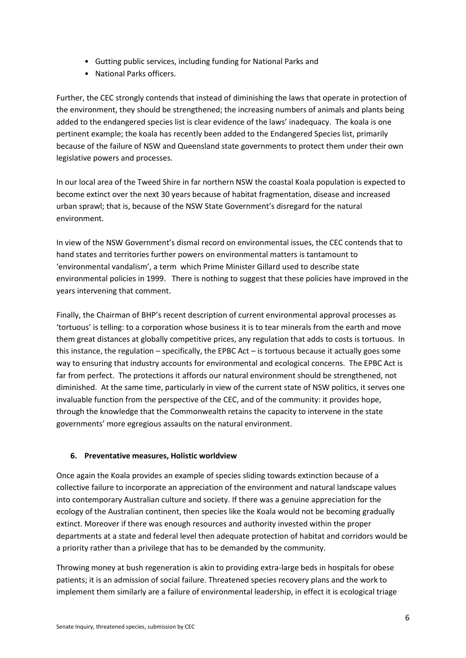- Gutting public services, including funding for National Parks and
- National Parks officers.

Further, the CEC strongly contends that instead of diminishing the laws that operate in protection of the environment, they should be strengthened; the increasing numbers of animals and plants being added to the endangered species list is clear evidence of the laws' inadequacy. The koala is one pertinent example; the koala has recently been added to the Endangered Species list, primarily because of the failure of NSW and Queensland state governments to protect them under their own legislative powers and processes.

In our local area of the Tweed Shire in far northern NSW the coastal Koala population is expected to become extinct over the next 30 years because of habitat fragmentation, disease and increased urban sprawl; that is, because of the NSW State Government's disregard for the natural environment.

In view of the NSW Government's dismal record on environmental issues, the CEC contends that to hand states and territories further powers on environmental matters is tantamount to 'environmental vandalism', a term which Prime Minister Gillard used to describe state environmental policies in 1999. There is nothing to suggest that these policies have improved in the years intervening that comment.

Finally, the Chairman of BHP's recent description of current environmental approval processes as 'tortuous' is telling: to a corporation whose business it is to tear minerals from the earth and move them great distances at globally competitive prices, any regulation that adds to costs is tortuous. In this instance, the regulation – specifically, the EPBC Act – is tortuous because it actually goes some way to ensuring that industry accounts for environmental and ecological concerns. The EPBC Act is far from perfect. The protections it affords our natural environment should be strengthened, not diminished. At the same time, particularly in view of the current state of NSW politics, it serves one invaluable function from the perspective of the CEC, and of the community: it provides hope, through the knowledge that the Commonwealth retains the capacity to intervene in the state governments' more egregious assaults on the natural environment.

## **6. Preventative measures, Holistic worldview**

Once again the Koala provides an example of species sliding towards extinction because of a collective failure to incorporate an appreciation of the environment and natural landscape values into contemporary Australian culture and society. If there was a genuine appreciation for the ecology of the Australian continent, then species like the Koala would not be becoming gradually extinct. Moreover if there was enough resources and authority invested within the proper departments at a state and federal level then adequate protection of habitat and corridors would be a priority rather than a privilege that has to be demanded by the community.

Throwing money at bush regeneration is akin to providing extra-large beds in hospitals for obese patients; it is an admission of social failure. Threatened species recovery plans and the work to implement them similarly are a failure of environmental leadership, in effect it is ecological triage